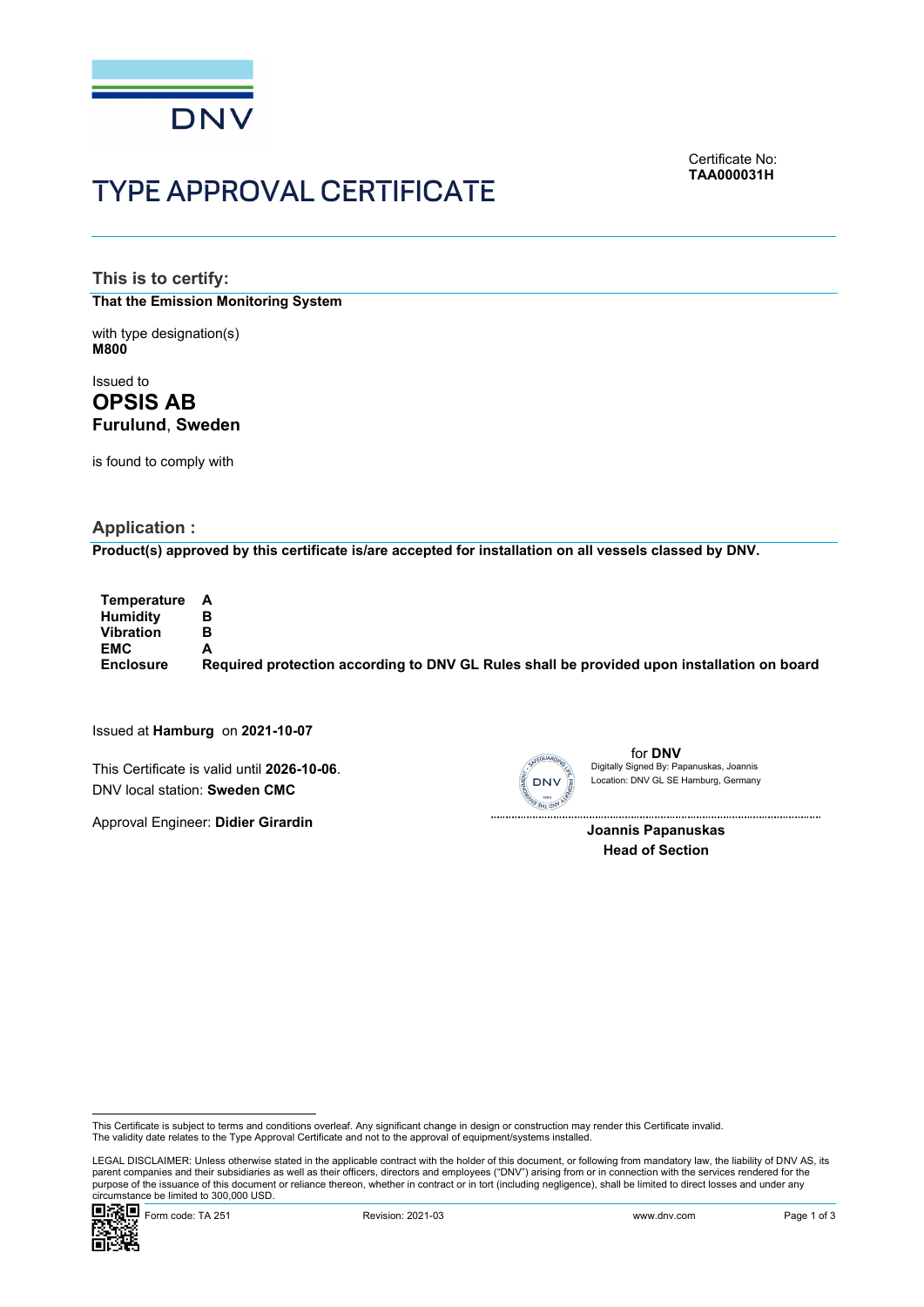

# TYPE APPROVAL CERTIFICATE

Certificate No: **TAA000031H**

**This is to certify: That the Emission Monitoring System**

with type designation(s) **M800**

Issued to **OPSIS AB Furulund**, **Sweden** 

is found to comply with

# **Application :**

**Product(s) approved by this certificate is/are accepted for installation on all vessels classed by DNV.**

**Temperature A Humidity Vibration B EMC A Enclosure Required protection according to DNV GL Rules shall be provided upon installation on board**

Issued at **Hamburg** on **2021-10-07**

This Certificate is valid until **2026-10-06**. DNV local station: **Sweden CMC**

Approval Engineer: **Didier Girardin**



for **DNV** Location: DNV GL SE Hamburg, Germany Digitally Signed By: Papanuskas, Joannis

 **Joannis Papanuskas Head of Section**

This Certificate is subject to terms and conditions overleaf. Any significant change in design or construction may render this Certificate invalid.<br>The validity date relates to the Type Approval Certificate and not to the

 LEGAL DISCLAIMER: Unless otherwise stated in the applicable contract with the holder of this document, or following from mandatory law, the liability of DNV AS, its parent companies and their subsidiaries as well as their officers, directors and employees ("DNV") arising from or in connection with the services rendered for the purpose of the issuance of this document or reliance thereon, whether in contract or in tort (including negligence), shall be limited to direct losses and under any circumstance be limited to 300,000 USD.

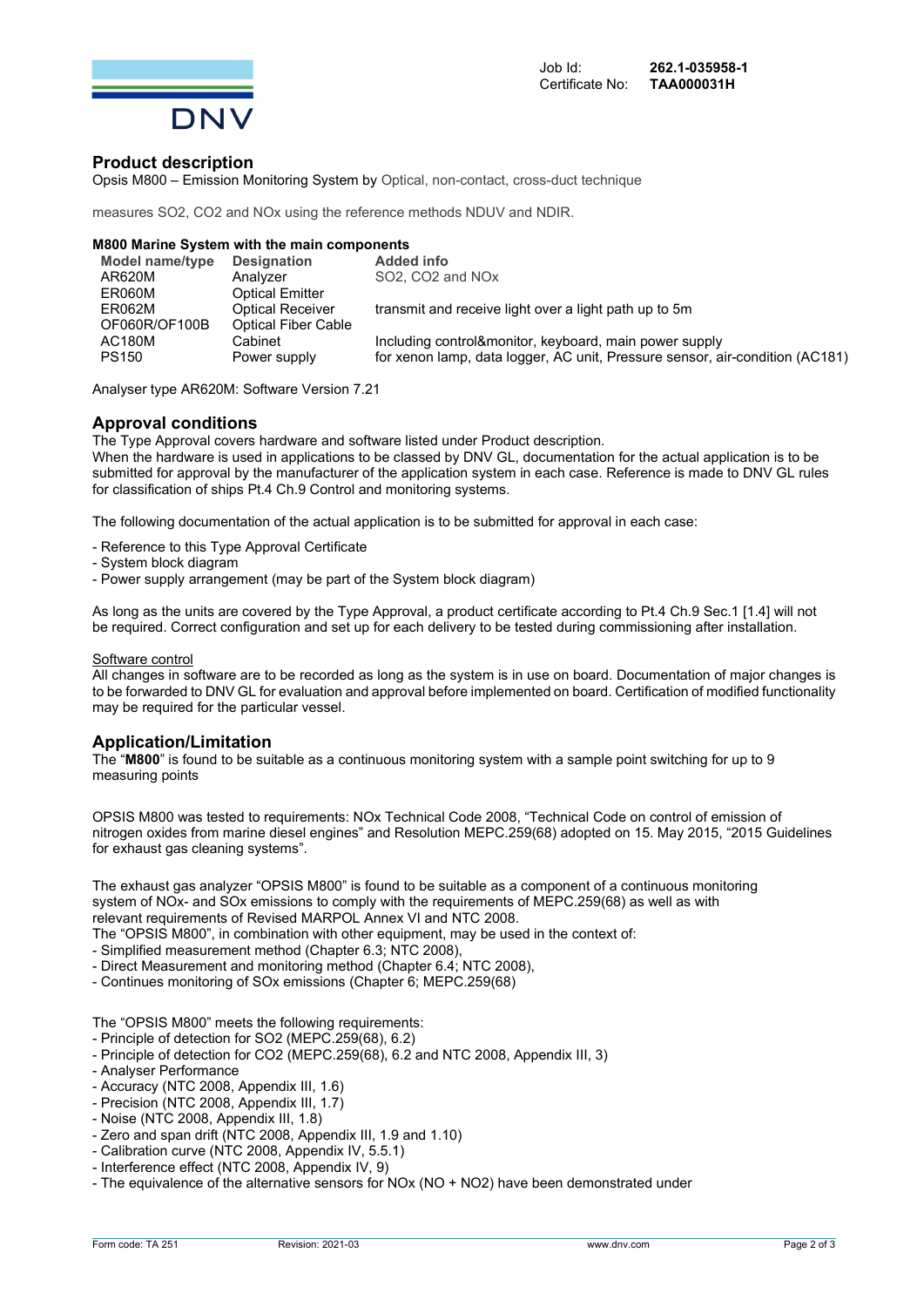

### **Product description**

Opsis M800 – Emission Monitoring System by Optical, non-contact, cross-duct technique

measures SO2, CO2 and NOx using the reference methods NDUV and NDIR.

#### **M800 Marine System with the main components**

| Model name/type | <b>Designation</b>         | <b>Added info</b>                                                            |
|-----------------|----------------------------|------------------------------------------------------------------------------|
| AR620M          | Analyzer                   | SO <sub>2</sub> . CO <sub>2</sub> and NO <sub>x</sub>                        |
| ER060M          | <b>Optical Emitter</b>     |                                                                              |
| ER062M          | <b>Optical Receiver</b>    | transmit and receive light over a light path up to 5m                        |
| OF060R/OF100B   | <b>Optical Fiber Cable</b> |                                                                              |
| <b>AC180M</b>   | Cabinet                    | Including control&monitor, keyboard, main power supply                       |
| <b>PS150</b>    | Power supply               | for xenon lamp, data logger, AC unit, Pressure sensor, air-condition (AC181) |
|                 |                            |                                                                              |

Analyser type AR620M: Software Version 7.21

#### **Approval conditions**

The Type Approval covers hardware and software listed under Product description.

When the hardware is used in applications to be classed by DNV GL, documentation for the actual application is to be submitted for approval by the manufacturer of the application system in each case. Reference is made to DNV GL rules for classification of ships Pt.4 Ch.9 Control and monitoring systems.

The following documentation of the actual application is to be submitted for approval in each case:

- Reference to this Type Approval Certificate
- System block diagram
- Power supply arrangement (may be part of the System block diagram)

As long as the units are covered by the Type Approval, a product certificate according to Pt.4 Ch.9 Sec.1 [1.4] will not be required. Correct configuration and set up for each delivery to be tested during commissioning after installation.

#### Software control

All changes in software are to be recorded as long as the system is in use on board. Documentation of major changes is to be forwarded to DNV GL for evaluation and approval before implemented on board. Certification of modified functionality may be required for the particular vessel.

### **Application/Limitation**

The "**M800**" is found to be suitable as a continuous monitoring system with a sample point switching for up to 9 measuring points

OPSIS M800 was tested to requirements: NOx Technical Code 2008, "Technical Code on control of emission of nitrogen oxides from marine diesel engines" and Resolution MEPC.259(68) adopted on 15. May 2015, "2015 Guidelines for exhaust gas cleaning systems".

The exhaust gas analyzer "OPSIS M800" is found to be suitable as a component of a continuous monitoring system of NOx- and SOx emissions to comply with the requirements of MEPC.259(68) as well as with relevant requirements of Revised MARPOL Annex VI and NTC 2008.

The "OPSIS M800", in combination with other equipment, may be used in the context of:

- Simplified measurement method (Chapter 6.3; NTC 2008),
- Direct Measurement and monitoring method (Chapter 6.4; NTC 2008),
- Continues monitoring of SOx emissions (Chapter 6; MEPC.259(68)

The "OPSIS M800" meets the following requirements:

- Principle of detection for SO2 (MEPC.259(68), 6.2)
- Principle of detection for CO2 (MEPC.259(68), 6.2 and NTC 2008, Appendix III, 3)
- Analyser Performance
- Accuracy (NTC 2008, Appendix III, 1.6)
- Precision (NTC 2008, Appendix III, 1.7)
- Noise (NTC 2008, Appendix III, 1.8)
- Zero and span drift (NTC 2008, Appendix III, 1.9 and 1.10)
- Calibration curve (NTC 2008, Appendix IV, 5.5.1)
- Interference effect (NTC 2008, Appendix IV, 9)
- The equivalence of the alternative sensors for NOx (NO + NO2) have been demonstrated under